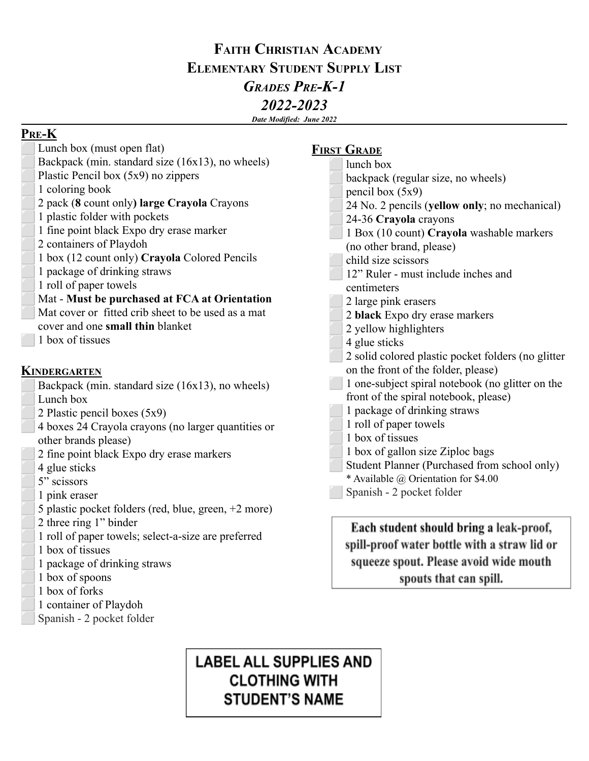# **FAITH CHRISTIAN ACADEMY ELEMENTARY STUDENT SUPPLY LIST** *GRADES PRE-K-1 2022-2023*

*Date Modified: June 2022*

**PRE-K**

| Lunch box (must open flat)                           | <b>FIRST GRADE</b>                                 |
|------------------------------------------------------|----------------------------------------------------|
| Backpack (min. standard size (16x13), no wheels)     | lunch box                                          |
| Plastic Pencil box (5x9) no zippers                  | backpack (regular size, no wheels)                 |
| 1 coloring book                                      | pencil box $(5x9)$                                 |
| 2 pack (8 count only) large Crayola Crayons          | 24 No. 2 pencils (yellow only; no mechanical)      |
| 1 plastic folder with pockets                        | 24-36 Crayola crayons                              |
| 1 fine point black Expo dry erase marker             | 1 Box (10 count) Crayola washable markers          |
| 2 containers of Playdoh                              | (no other brand, please)                           |
| 1 box (12 count only) Crayola Colored Pencils        | child size scissors                                |
| 1 package of drinking straws                         | 12" Ruler - must include inches and                |
| 1 roll of paper towels                               | centimeters                                        |
| Mat - Must be purchased at FCA at Orientation        | 2 large pink erasers                               |
| Mat cover or fitted crib sheet to be used as a mat   | 2 black Expo dry erase markers                     |
| cover and one small thin blanket                     | 2 yellow highlighters                              |
| 1 box of tissues                                     | 4 glue sticks                                      |
|                                                      | 2 solid colored plastic pocket folders (no glitter |
| <b>KINDERGARTEN</b>                                  | on the front of the folder, please)                |
| Backpack (min. standard size (16x13), no wheels)     | 1 one-subject spiral notebook (no glitter on the   |
| Lunch box                                            | front of the spiral notebook, please)              |
| 2 Plastic pencil boxes (5x9)                         | 1 package of drinking straws                       |
| 4 boxes 24 Crayola crayons (no larger quantities or  | 1 roll of paper towels                             |
| other brands please)                                 | 1 box of tissues                                   |
| 2 fine point black Expo dry erase markers            | 1 box of gallon size Ziploc bags                   |
| 4 glue sticks                                        | Student Planner (Purchased from school only)       |
| 5" scissors                                          | * Available @ Orientation for \$4.00               |
| 1 pink eraser                                        | Spanish - 2 pocket folder                          |
| 5 plastic pocket folders (red, blue, green, +2 more) |                                                    |
| 2 three ring 1" binder                               | Each student should bring a leak-proof,            |
| 1 roll of paper towels; select-a-size are preferred  |                                                    |
| 1 box of tissues                                     | spill-proof water bottle with a straw lid or       |
| 1 package of drinking straws                         | squeeze spout. Please avoid wide mouth             |
| 1 box of spoons                                      | spouts that can spill.                             |
| 1 box of forks                                       |                                                    |
| 1 container of Playdoh                               |                                                    |
| Spanish - 2 pocket folder                            |                                                    |

# **LABEL ALL SUPPLIES AND CLOTHING WITH STUDENT'S NAME**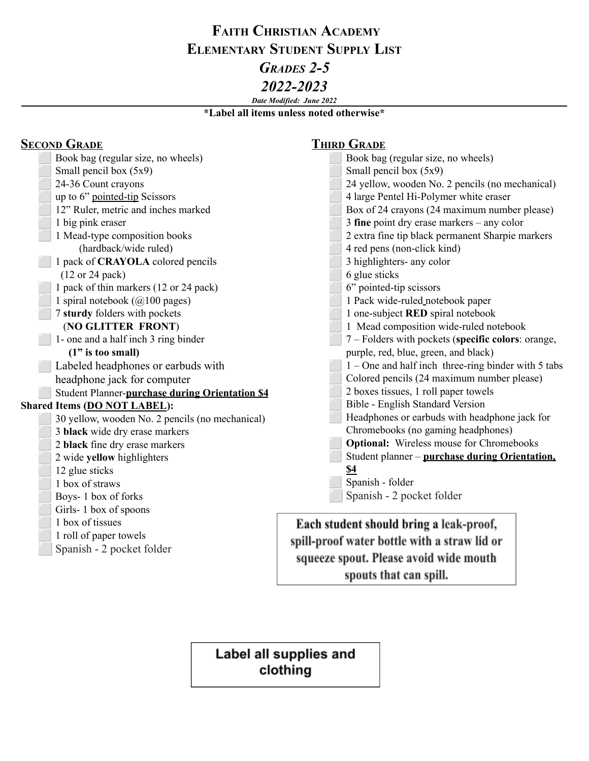# **FAITH CHRISTIAN ACADEMY ELEMENTARY STUDENT SUPPLY LIST** *GRADES 2-5 2022-2023*

### *Date Modified: June 2022*

**\*Label all items unless noted otherwise\***

| <b>SECOND GRADE</b>                             | <b>THIRD GRADE</b>                                    |
|-------------------------------------------------|-------------------------------------------------------|
| Book bag (regular size, no wheels)              | Book bag (regular size, no wheels)                    |
| Small pencil box $(5x9)$                        | Small pencil box (5x9)                                |
| 24-36 Count crayons                             | 24 yellow, wooden No. 2 pencils (no mechanical)       |
| up to 6" pointed-tip Scissors                   | 4 large Pentel Hi-Polymer white eraser                |
| 12" Ruler, metric and inches marked             | Box of 24 crayons (24 maximum number please)          |
| 1 big pink eraser                               | 3 fine point dry erase markers $-$ any color          |
| 1 Mead-type composition books                   | 2 extra fine tip black permanent Sharpie markers      |
| (hardback/wide ruled)                           | 4 red pens (non-click kind)                           |
| 1 pack of <b>CRAYOLA</b> colored pencils        | 3 highlighters- any color                             |
| $(12 \text{ or } 24 \text{ pack})$              | 6 glue sticks                                         |
| 1 pack of thin markers (12 or 24 pack)          | 6" pointed-tip scissors                               |
| 1 spiral notebook ( $@100$ pages)               | 1 Pack wide-ruled_notebook paper                      |
| 7 sturdy folders with pockets                   | 1 one-subject RED spiral notebook                     |
| (NO GLITTER FRONT)                              | 1 Mead composition wide-ruled notebook                |
| 1- one and a half inch 3 ring binder            | 7 – Folders with pockets (specific colors: orange,    |
| $(1"$ is too small)                             | purple, red, blue, green, and black)                  |
| Labeled headphones or earbuds with              | $1 -$ One and half inch three-ring binder with 5 tabs |
| headphone jack for computer                     | Colored pencils (24 maximum number please)            |
| Student Planner-purchase during Orientation \$4 | 2 boxes tissues, 1 roll paper towels                  |
| Shared Items (DO NOT LABEL):                    | Bible - English Standard Version                      |
| 30 yellow, wooden No. 2 pencils (no mechanical) | Headphones or earbuds with headphone jack for         |
| 3 black wide dry erase markers                  | Chromebooks (no gaming headphones)                    |
| 2 black fine dry erase markers                  | <b>Optional:</b> Wireless mouse for Chromebooks       |
| 2 wide yellow highlighters                      | Student planner - purchase during Orientation,        |
| 12 glue sticks                                  | \$4                                                   |
| 1 box of straws                                 | Spanish - folder                                      |
| Boys-1 box of forks                             | Spanish - 2 pocket folder                             |
| Girls-1 box of spoons                           |                                                       |
| 1 box of tissues                                | Each student should bring a leak-proof,               |
| 1 roll of paper towels                          | spill-proof water bottle with a straw lid or          |
| Spanish - 2 pocket folder                       |                                                       |
|                                                 | squeeze spout. Please avoid wide mouth                |

spouts that can spill.

Label all supplies and clothing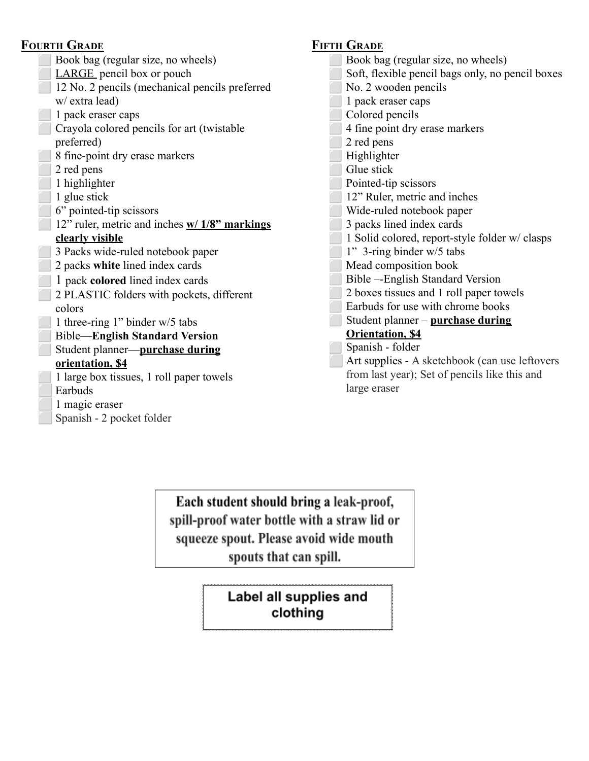### **FOURTH GRADE**

| Book bag (regular size, no wheels)             |
|------------------------------------------------|
| <b>LARGE</b> pencil box or pouch               |
| 12 No. 2 pencils (mechanical pencils preferred |
| w/ extra lead)                                 |
| 1 pack eraser caps                             |
| Crayola colored pencils for art (twistable     |
| preferred)                                     |
| 8 fine-point dry erase markers                 |
| 2 red pens                                     |
| 1 highlighter                                  |
| 1 glue stick                                   |
| 6" pointed-tip scissors                        |
| 12" ruler, metric and inches w/ 1/8" markings  |
| clearly visible                                |
| 3 Packs wide-ruled notebook paper              |
| 2 packs white lined index cards                |
| 1 pack <b>colored</b> lined index cards        |
| 2 PLASTIC folders with pockets, different      |
| colors                                         |
| 1 three-ring 1" binder w/5 tabs                |
| <b>Bible—English Standard Version</b>          |
| Student planner-purchase during                |
| orientation, \$4                               |
| 1 large box tissues, 1 roll paper towels       |
| Earbuds                                        |
| 1 magic eraser                                 |
| Spanish - 2 pocket folder                      |

## **FIFTH GRADE**

⬜ Book bag (regular size, no wheels) ⬜ Soft, flexible pencil bags only, no pencil boxes ⬜ No. 2 wooden pencils ⬜ 1 pack eraser caps ⬜ Colored pencils ⬜ 4 fine point dry erase markers 2 red pens Highlighter Glue stick Pointed-tip scissors ⬜ 12" Ruler, metric and inches ⬜ Wide-ruled notebook paper ⬜ 3 packs lined index cards ⬜ 1 Solid colored, report-style folder w/ clasps ⬜ 1" 3-ring binder w/5 tabs Mead composition book ⬜ Bible –-English Standard Version ⬜ 2 boxes tissues and 1 roll paper towels ⬜ Earbuds for use with chrome books ⬜ Student planner – **purchase during Orientation, \$4** Spanish - folder ⬜ Art supplies - A sketchbook (can use leftovers from last year); Set of pencils like this and large eraser

Each student should bring a leak-proof, spill-proof water bottle with a straw lid or squeeze spout. Please avoid wide mouth spouts that can spill.

> Label all supplies and clothing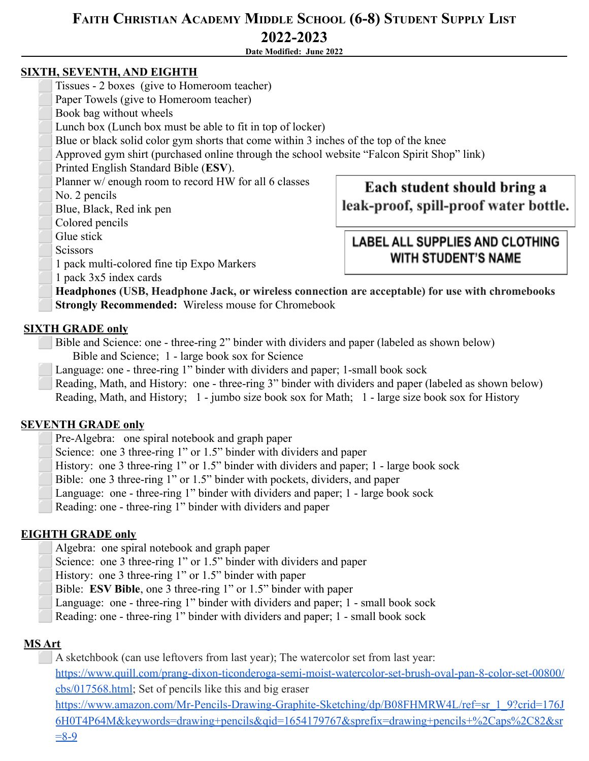# **FAITH CHRISTIAN ACADEMY MIDDLE SCHOOL (6-8) STUDENT SUPPLY LIST 2022-2023**

**Date Modified: June 2022**

#### **SIXTH, SEVENTH, AND EIGHTH**

- ⬜ Tissues 2 boxes (give to Homeroom teacher)
- Paper Towels (give to Homeroom teacher)
- ⬜ Book bag without wheels
- Lunch box (Lunch box must be able to fit in top of locker)
- Blue or black solid color gym shorts that come within 3 inches of the top of the knee
- ⬜ Approved gym shirt (purchased online through the school website "Falcon Spirit Shop" link)
- ⬜ Printed English Standard Bible (**ESV**).
- Planner w/ enough room to record HW for all 6 classes
- No. 2 pencils
- ⬜ Blue, Black, Red ink pen
- Colored pencils
- Glue stick
- **Scissors**
- ⬜ 1 pack multi-colored fine tip Expo Markers

# Each student should bring a leak-proof, spill-proof water bottle.

## **LABEL ALL SUPPLIES AND CLOTHING WITH STUDENT'S NAME**

⬜ 1 pack 3x5 index cards

⬜ **Headphones (USB, Headphone Jack, or wireless connection are acceptable) for use with chromebooks Strongly Recommended:** Wireless mouse for Chromebook

### **SIXTH GRADE only**

Bible and Science: one - three-ring 2" binder with dividers and paper (labeled as shown below) Bible and Science; 1 - large book sox for Science

- Language: one three-ring 1" binder with dividers and paper; 1-small book sock
- Reading, Math, and History: one three-ring 3" binder with dividers and paper (labeled as shown below)
- Reading, Math, and History; 1 jumbo size book sox for Math; 1 large size book sox for History

#### **SEVENTH GRADE only**

- Pre-Algebra: one spiral notebook and graph paper
- Science: one 3 three-ring 1" or 1.5" binder with dividers and paper
- History: one 3 three-ring 1" or 1.5" binder with dividers and paper; 1 large book sock
- Bible: one 3 three-ring 1" or 1.5" binder with pockets, dividers, and paper
- Language: one three-ring 1" binder with dividers and paper; 1 large book sock
- Reading: one three-ring 1" binder with dividers and paper

#### **EIGHTH GRADE only**

- Algebra: one spiral notebook and graph paper
- Science: one 3 three-ring 1" or 1.5" binder with dividers and paper
- History: one 3 three-ring 1" or 1.5" binder with paper
- Bible: **ESV Bible**, one 3 three-ring 1" or 1.5" binder with paper
- Language: one three-ring 1" binder with dividers and paper; 1 small book sock
- Reading: one three-ring 1" binder with dividers and paper; 1 small book sock

#### **MS Art**

⬜ A sketchbook (can use leftovers from last year); The watercolor set from last year: [https://www.quill.com/prang-dixon-ticonderoga-semi-moist-watercolor-set-brush-oval-pan-8-color-set-00800/](https://www.quill.com/prang-dixon-ticonderoga-semi-moist-watercolor-set-brush-oval-pan-8-color-set-00800/cbs/017568.html) [cbs/017568.html;](https://www.quill.com/prang-dixon-ticonderoga-semi-moist-watercolor-set-brush-oval-pan-8-color-set-00800/cbs/017568.html) Set of pencils like this and big eraser

[https://www.amazon.com/Mr-Pencils-Drawing-Graphite-Sketching/dp/B08FHMRW4L/ref=sr\\_1\\_9?crid=176J](https://www.amazon.com/Mr-Pencils-Drawing-Graphite-Sketching/dp/B08FHMRW4L/ref=sr_1_9?crid=176J6H0T4P64M&keywords=drawing+pencils&qid=1654179767&sprefix=drawing+pencils+%2Caps%2C82&sr=8-9) [6H0T4P64M&keywords=drawing+pencils&qid=1654179767&sprefix=drawing+pencils+%2Caps%2C82&sr](https://www.amazon.com/Mr-Pencils-Drawing-Graphite-Sketching/dp/B08FHMRW4L/ref=sr_1_9?crid=176J6H0T4P64M&keywords=drawing+pencils&qid=1654179767&sprefix=drawing+pencils+%2Caps%2C82&sr=8-9)